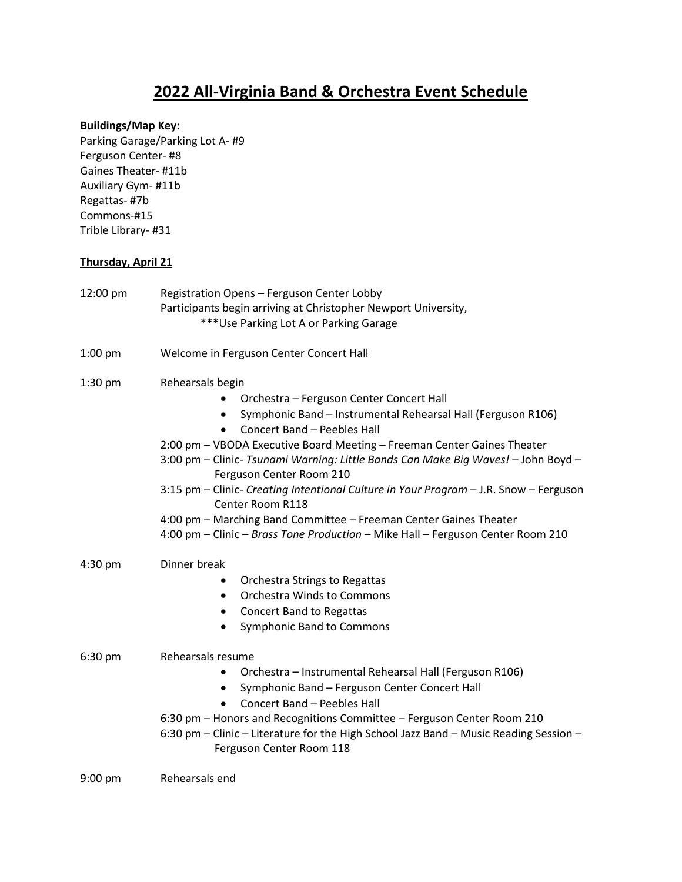# **2022 All-Virginia Band & Orchestra Event Schedule**

### **Buildings/Map Key:**

Parking Garage/Parking Lot A- #9 Ferguson Center- #8 Gaines Theater- #11b Auxiliary Gym- #11b Regattas- #7b Commons-#15 Trible Library- #31

### **Thursday, April 21**

| 12:00 pm  | Registration Opens - Ferguson Center Lobby<br>Participants begin arriving at Christopher Newport University,<br>*** Use Parking Lot A or Parking Garage                                                                                                                                                                                                                                                                                                                                                                                                                                                                                   |
|-----------|-------------------------------------------------------------------------------------------------------------------------------------------------------------------------------------------------------------------------------------------------------------------------------------------------------------------------------------------------------------------------------------------------------------------------------------------------------------------------------------------------------------------------------------------------------------------------------------------------------------------------------------------|
| $1:00$ pm | Welcome in Ferguson Center Concert Hall                                                                                                                                                                                                                                                                                                                                                                                                                                                                                                                                                                                                   |
| $1:30$ pm | Rehearsals begin<br>Orchestra - Ferguson Center Concert Hall<br>Symphonic Band - Instrumental Rehearsal Hall (Ferguson R106)<br>Concert Band - Peebles Hall<br>$\bullet$<br>2:00 pm - VBODA Executive Board Meeting - Freeman Center Gaines Theater<br>3:00 pm - Clinic- Tsunami Warning: Little Bands Can Make Big Waves! - John Boyd -<br>Ferguson Center Room 210<br>3:15 pm - Clinic- Creating Intentional Culture in Your Program - J.R. Snow - Ferguson<br>Center Room R118<br>4:00 pm - Marching Band Committee - Freeman Center Gaines Theater<br>4:00 pm - Clinic - Brass Tone Production - Mike Hall - Ferguson Center Room 210 |
| 4:30 pm   | Dinner break<br>Orchestra Strings to Regattas<br><b>Orchestra Winds to Commons</b><br>$\bullet$<br><b>Concert Band to Regattas</b><br>$\bullet$<br>Symphonic Band to Commons<br>$\bullet$                                                                                                                                                                                                                                                                                                                                                                                                                                                 |
| 6:30 pm   | Rehearsals resume<br>Orchestra - Instrumental Rehearsal Hall (Ferguson R106)<br>٠<br>Symphonic Band - Ferguson Center Concert Hall<br>٠<br>Concert Band - Peebles Hall<br>$\bullet$<br>6:30 pm - Honors and Recognitions Committee - Ferguson Center Room 210<br>6:30 pm - Clinic - Literature for the High School Jazz Band - Music Reading Session -<br>Ferguson Center Room 118                                                                                                                                                                                                                                                        |
| $9:00$ pm | Rehearsals end                                                                                                                                                                                                                                                                                                                                                                                                                                                                                                                                                                                                                            |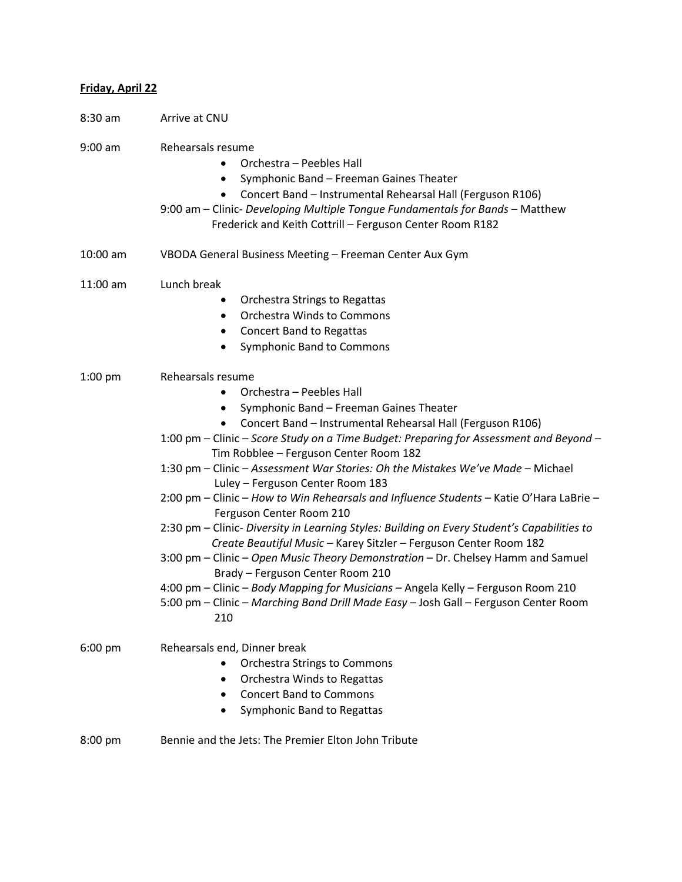## **Friday, April 22**

| $8:30$ am  | Arrive at CNU                                                                                                                                                                                                                                                                                                                                                                                                                                                                                                                                                                                                                                                                                                                                                                                                                                                                                                                                                                                                                            |
|------------|------------------------------------------------------------------------------------------------------------------------------------------------------------------------------------------------------------------------------------------------------------------------------------------------------------------------------------------------------------------------------------------------------------------------------------------------------------------------------------------------------------------------------------------------------------------------------------------------------------------------------------------------------------------------------------------------------------------------------------------------------------------------------------------------------------------------------------------------------------------------------------------------------------------------------------------------------------------------------------------------------------------------------------------|
| $9:00$ am  | Rehearsals resume<br>Orchestra - Peebles Hall<br>$\bullet$<br>Symphonic Band - Freeman Gaines Theater<br>$\bullet$<br>Concert Band - Instrumental Rehearsal Hall (Ferguson R106)<br>9:00 am - Clinic- Developing Multiple Tongue Fundamentals for Bands - Matthew<br>Frederick and Keith Cottrill - Ferguson Center Room R182                                                                                                                                                                                                                                                                                                                                                                                                                                                                                                                                                                                                                                                                                                            |
| $10:00$ am | VBODA General Business Meeting - Freeman Center Aux Gym                                                                                                                                                                                                                                                                                                                                                                                                                                                                                                                                                                                                                                                                                                                                                                                                                                                                                                                                                                                  |
| 11:00 am   | Lunch break<br>Orchestra Strings to Regattas<br><b>Orchestra Winds to Commons</b><br>$\bullet$<br><b>Concert Band to Regattas</b><br>٠<br>Symphonic Band to Commons<br>$\bullet$                                                                                                                                                                                                                                                                                                                                                                                                                                                                                                                                                                                                                                                                                                                                                                                                                                                         |
| $1:00$ pm  | Rehearsals resume<br>Orchestra - Peebles Hall<br>٠<br>Symphonic Band - Freeman Gaines Theater<br>$\bullet$<br>Concert Band - Instrumental Rehearsal Hall (Ferguson R106)<br>1:00 pm – Clinic – Score Study on a Time Budget: Preparing for Assessment and Beyond –<br>Tim Robblee - Ferguson Center Room 182<br>1:30 pm - Clinic - Assessment War Stories: Oh the Mistakes We've Made - Michael<br>Luley - Ferguson Center Room 183<br>2:00 pm - Clinic - How to Win Rehearsals and Influence Students - Katie O'Hara LaBrie -<br>Ferguson Center Room 210<br>2:30 pm - Clinic- Diversity in Learning Styles: Building on Every Student's Capabilities to<br>Create Beautiful Music - Karey Sitzler - Ferguson Center Room 182<br>3:00 pm - Clinic - Open Music Theory Demonstration - Dr. Chelsey Hamm and Samuel<br>Brady - Ferguson Center Room 210<br>4:00 pm - Clinic - Body Mapping for Musicians - Angela Kelly - Ferguson Room 210<br>5:00 pm - Clinic - Marching Band Drill Made Easy - Josh Gall - Ferguson Center Room<br>210 |
| $6:00$ pm  | Rehearsals end, Dinner break<br><b>Orchestra Strings to Commons</b><br>$\bullet$<br>Orchestra Winds to Regattas<br><b>Concert Band to Commons</b><br>Symphonic Band to Regattas                                                                                                                                                                                                                                                                                                                                                                                                                                                                                                                                                                                                                                                                                                                                                                                                                                                          |
| $8:00$ pm  | Bennie and the Jets: The Premier Elton John Tribute                                                                                                                                                                                                                                                                                                                                                                                                                                                                                                                                                                                                                                                                                                                                                                                                                                                                                                                                                                                      |